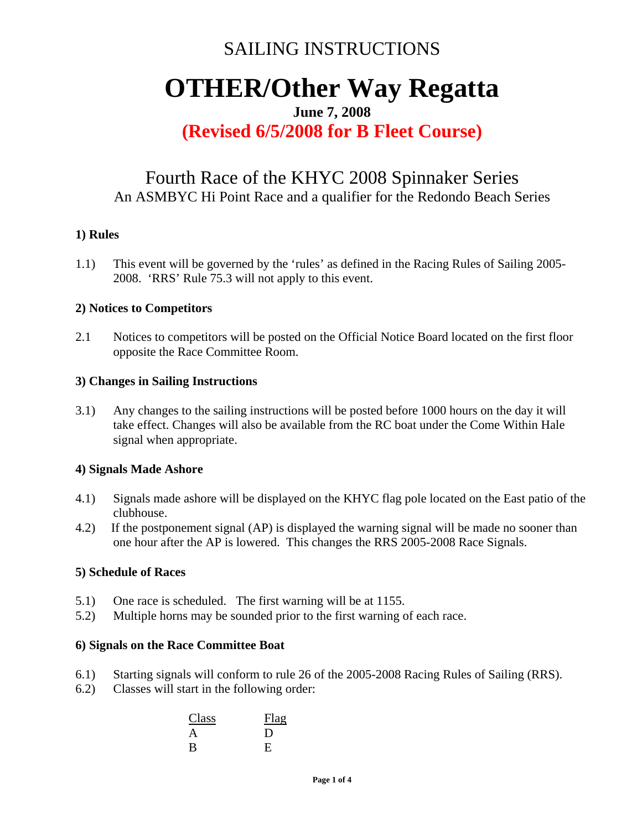# SAILING INSTRUCTIONS

# **OTHER/Other Way Regatta**

#### **June 7, 2008**

### **(Revised 6/5/2008 for B Fleet Course)**

### Fourth Race of the KHYC 2008 Spinnaker Series An ASMBYC Hi Point Race and a qualifier for the Redondo Beach Series

#### **1) Rules**

1.1) This event will be governed by the 'rules' as defined in the Racing Rules of Sailing 2005- 2008. 'RRS' Rule 75.3 will not apply to this event.

#### **2) Notices to Competitors**

2.1 Notices to competitors will be posted on the Official Notice Board located on the first floor opposite the Race Committee Room.

#### **3) Changes in Sailing Instructions**

3.1) Any changes to the sailing instructions will be posted before 1000 hours on the day it will take effect. Changes will also be available from the RC boat under the Come Within Hale signal when appropriate.

#### **4) Signals Made Ashore**

- 4.1) Signals made ashore will be displayed on the KHYC flag pole located on the East patio of the clubhouse.
- 4.2) If the postponement signal (AP) is displayed the warning signal will be made no sooner than one hour after the AP is lowered. This changes the RRS 2005-2008 Race Signals.

#### **5) Schedule of Races**

- 5.1) One race is scheduled. The first warning will be at 1155.
- 5.2) Multiple horns may be sounded prior to the first warning of each race.

#### **6) Signals on the Race Committee Boat**

- 6.1) Starting signals will conform to rule 26 of the 2005-2008 Racing Rules of Sailing (RRS).
- 6.2) Classes will start in the following order:

| Class        | Flag           |
|--------------|----------------|
| A            | $\blacksquare$ |
| <sub>B</sub> | E              |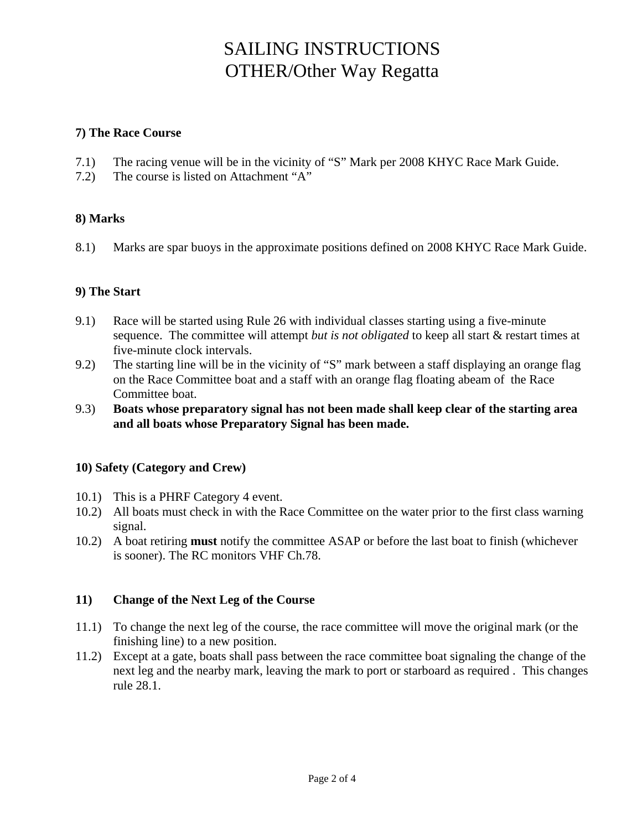# SAILING INSTRUCTIONS OTHER/Other Way Regatta

#### **7) The Race Course**

- 7.1) The racing venue will be in the vicinity of "S" Mark per 2008 KHYC Race Mark Guide.
- 7.2) The course is listed on Attachment "A"

#### **8) Marks**

8.1) Marks are spar buoys in the approximate positions defined on 2008 KHYC Race Mark Guide.

#### **9) The Start**

- 9.1) Race will be started using Rule 26 with individual classes starting using a five-minute sequence. The committee will attempt *but is not obligated* to keep all start & restart times at five-minute clock intervals.
- 9.2) The starting line will be in the vicinity of "S" mark between a staff displaying an orange flag on the Race Committee boat and a staff with an orange flag floating abeam of the Race Committee boat.
- 9.3) **Boats whose preparatory signal has not been made shall keep clear of the starting area and all boats whose Preparatory Signal has been made.**

#### **10) Safety (Category and Crew)**

- 10.1) This is a PHRF Category 4 event.
- 10.2) All boats must check in with the Race Committee on the water prior to the first class warning signal.
- 10.2) A boat retiring **must** notify the committee ASAP or before the last boat to finish (whichever is sooner). The RC monitors VHF Ch.78.

#### **11) Change of the Next Leg of the Course**

- 11.1) To change the next leg of the course, the race committee will move the original mark (or the finishing line) to a new position.
- 11.2) Except at a gate, boats shall pass between the race committee boat signaling the change of the next leg and the nearby mark, leaving the mark to port or starboard as required . This changes rule 28.1.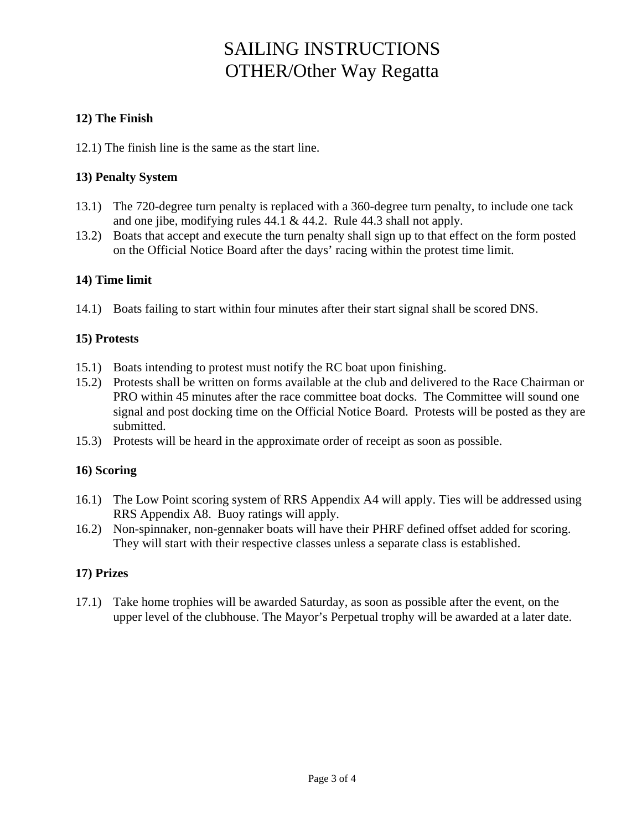# SAILING INSTRUCTIONS OTHER/Other Way Regatta

#### **12) The Finish**

12.1) The finish line is the same as the start line.

#### **13) Penalty System**

- 13.1) The 720-degree turn penalty is replaced with a 360-degree turn penalty, to include one tack and one jibe, modifying rules 44.1 & 44.2. Rule 44.3 shall not apply.
- 13.2) Boats that accept and execute the turn penalty shall sign up to that effect on the form posted on the Official Notice Board after the days' racing within the protest time limit.

#### **14) Time limit**

14.1) Boats failing to start within four minutes after their start signal shall be scored DNS.

#### **15) Protests**

- 15.1) Boats intending to protest must notify the RC boat upon finishing.
- 15.2) Protests shall be written on forms available at the club and delivered to the Race Chairman or PRO within 45 minutes after the race committee boat docks. The Committee will sound one signal and post docking time on the Official Notice Board. Protests will be posted as they are submitted.
- 15.3) Protests will be heard in the approximate order of receipt as soon as possible.

#### **16) Scoring**

- 16.1) The Low Point scoring system of RRS Appendix A4 will apply. Ties will be addressed using RRS Appendix A8. Buoy ratings will apply.
- 16.2) Non-spinnaker, non-gennaker boats will have their PHRF defined offset added for scoring. They will start with their respective classes unless a separate class is established.

#### **17) Prizes**

17.1) Take home trophies will be awarded Saturday, as soon as possible after the event, on the upper level of the clubhouse. The Mayor's Perpetual trophy will be awarded at a later date.